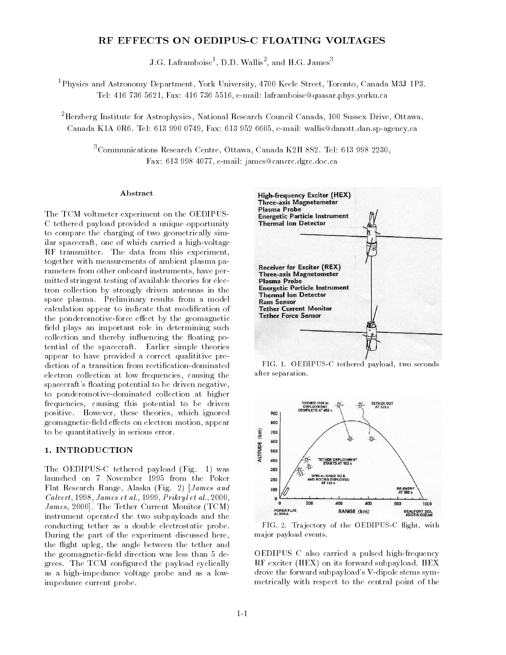## RF EFFECTS ON OEDIPUS-C FLOATING VOLTAGES

J.G. Laframboise", D.D. Wallis", and H.G. James "

1Physics and Astronomy Department, York University, 4700 Keele Street, Toronto, Canada M3J 1P3. Tel: 416 736 5621, Fax: 416 736 5516, e-mail: laframboise@quasar.phys.yorku.ca

2Herzberg Institute for Astrophysics, National Research Council Canada, 100 Sussex Drive, Ottawa, Canada K1A 0R6. Tel: 613 990 0749, Fax: 613 952 6605, e-mail: wallis@danott.dan.sp-agency.ca

3Communications Research Centre, Ottawa, Canada K2H 8S2. Tel: 613 998 2230, Fax: 613 998 4077, e-mail: james@cancrc.dgrc.doc.ca

#### Abstract

The TCM voltmeter experiment on the OEDIPUS-C tethered payload provided a unique opportunity to compare the charging of two geometrically similar spacecraft, one of which carried a high-voltage RF transmitter. The data from this experiment, together with measurements of ambient plasma parameters from other onboard instruments, have permitted stringent testing of available theories for electron collection by strongly driven antennas in the space plasma. Preliminary results from a model calculation appear to indicate that modication of the ponderomotive-force effect by the geomagnetic field plays an important role in determining such collection and thereby influencing the floating potential of the spacecraft. Earlier simple theories appear to have provided a correct qualititive prediction of a transition from rectification-dominated electron collection at low frequencies, causing the spacecraft's floating potential to be driven negative, to ponderomotive-dominated collection at higher frequencies, causing this potential to be driven positive. However, these theories, which ignored geomagnetic-field effects on electron motion, appear to be quantitatively in serious error.

#### 1. INTRODUCTION

The OEDIPUS-C tethered payload (Fig. 1) was launched on 7 November 1995 from the Poker Flat Research Range, Alaska (Fig. 2) [James and Calvert, 1998, James et al., 1999, Prikryl et al., 2000, James, 2000]. The Tether Current Monitor (TCM) instrument operated the two subpayloads and the conducting tether as a double electrostatic probe. During the part of the experiment discussed here, the flight upleg, the angle between the tether and the geomagnetic-field direction was less than 5 degrees. The TCM configured the payload cyclically as a high-impedance voltage probe and as a lowimpedance current probe.



FIG. 1. OEDIPUS-C tethered payload, two secondsafter separation.



FIG. 2. Trajectory of the OEDIPUS-C flight, with ma jor payload events.

OEDIPUS C also carried a pulsed high-frequency RF exciter (HEX) on its forward subpayload. HEX drove the forward subpayload's V-dipole stems symmetrically with respect to the central point of the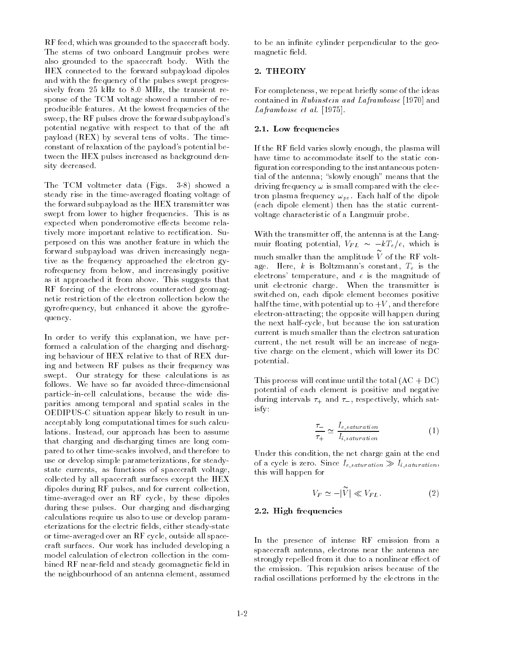RF feed, which was grounded to the spacecraft body. The stems of two onboard Langmuir probes were also grounded to the spacecraft body. With the HEX connected to the forward subpayload dipoles and with the frequency of the pulses swept progressively from 25 kHz to 8.0 MHz, the transient response of the TCM voltage showed a number of reproducible features. At the lowest frequencies of the sweep, the RF pulses drove the forward subpayload's potential negative with respect to that of the aft payload (REX) by several tens of volts. The timeconstant of relaxation of the payload's potential between the HEX pulses increased as background density decreased.

The TCM voltmeter data (Figs. 3-8) showed a steady rise in the time-averaged floating voltage of the forward subpayload as the HEX transmitter was swept from lower to higher frequencies. This is as expected when ponderomotive effects become relatively more important relative to rectification. Superposed on this was another feature in which the forward subpayload was driven increasingly negative as the frequency approached the electron gyrofrequency from below, and increasingly positive as it approached it from above. This suggests that RF forcing of the electrons counteracted geomagnetic restriction of the electron collection below the gyrofrequency, but enhanced it above the gyrofrequency.

In order to verify this explanation, we have performed a calculation of the charging and discharging behaviour of HEX relative to that of REX during and between RF pulses as their frequency was swept. Our strategy for these calculations is as follows. We have so far avoided three-dimensional particle-in-cell calculations, because the wide disparities among temporal and spatial scales in the OEDIPUS-C situation appear likely to result in unacceptably long computational times for such calculations. Instead, our approach has been to assume that charging and discharging times are long compared to other time-scales involved, and therefore to use or develop simple parameterizations, for steadystate currents, as functions of spacecraft voltage, collected by all spacecraft surfaces except the HEX dipoles during RF pulses, and for current collection, time-averaged over an RF cycle, by these dipoles during these pulses. Our charging and discharging calculations require us also to use or develop parameterizations for the electric fields, either steady-state or time-averaged over an RF cycle, outside all spacecraft surfaces. Our work has included developing a model calculation of electron collection in the combined RF near-field and steady geomagnetic field in the neighbourhood of an antenna element, assumed to be an infinite cylinder perpendicular to the geomagnetic field.

### 2. THEORY

For completeness, we repeat briefly some of the ideas contained in Rubinstein and Laframboise [1970] and Laframboise et al. [1975].

#### 2.1. Low frequencies

If the RF field varies slowly enough, the plasma will have time to accommodate itself to the static con figuration corresponding to the instantaneous potential of the antenna; "slowly enough" means that the driving frequency  $\omega$  is small compared with the electron plasma frequency  $\omega_{pe}$ . Each half of the dipole (each dipole element) then has the static currentvoltage characteristic of a Langmuir probe.

With the transmitter off, the antenna is at the Langmuir floating potential,  $V_{FL} \sim -kT_e/e$ , which is much smaller than the amplitude  $V$  of the RF voltage. Here,  $k$  is Boltzmann's constant,  $T_e$  is the electrons' temperature, and  $e$  is the magnitude of unit electronic charge. When the transmitter is switched on, each dipole element becomes positive half the time, with potential up to  $+V$ , and therefore electron-attracting; the opposite will happen during the next half-cycle, but because the ion saturation current is much smaller than the electron saturation current, the net result will be an increase of negative charge on the element, which will lower its DC potential.

This process will continue until the total  $(AC + DC)$ potential of each element is positive and negative during intervals  $\tau_+$  and  $\tau_-$ , respectively, which satisfy:

$$
\frac{\tau_{-}}{\tau_{+}} \simeq \frac{I_{e,saturation}}{I_{i,saturation}} \tag{1}
$$

Under this condition, the net charge gain at the end of a cycle is zero. Since  $I_{e,saturation} \gg I_{i,saturation}$ , this will happen for

$$
V_F \simeq -|\widetilde{V}| \ll V_{FL}.\tag{2}
$$

## 2.2. High frequencies

In the presence of intense RF emission from a spacecraft antenna, electrons near the antenna are strongly repelled from it due to a nonlinear effect of the emission. This repulsion arises because of the radial oscillations performed by the electrons in the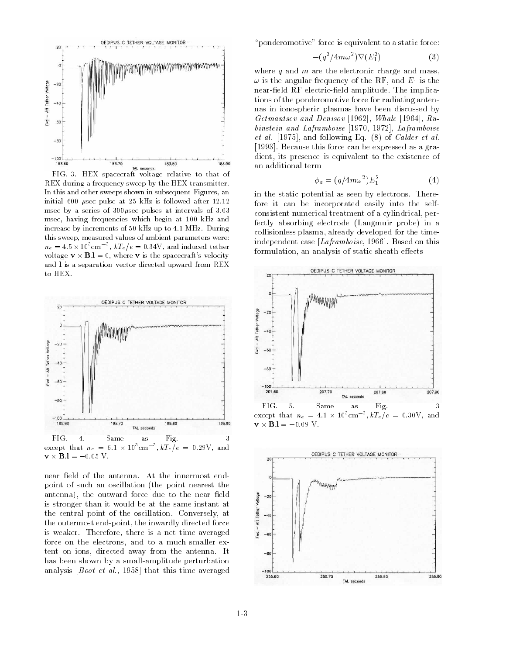

FIG. 3. HEX spacecraft voltage relative to that ofREX during a frequency sweep by the HEX transmitter.In this and other sweeps shown in subsequent Figures, aninitial 600 sec pulse at 25 kHz is followed after 12.12 msec by a series of  $300\mu$ sec pulses at intervals of 3.03 msec, having frequencies which begin at 100 kHz andincrease by increments of 50 kHz up to 4.1 MHz. Duringthis sweep, measured values of ambient parameters were: $n_e = 4.5 \times 10^{\circ}$ cm $^{-}$ ,  $kT_e/e = 0.34V$ , and induced tether voltage  $\mathbf{v} \times \mathbf{B} \cdot \mathbf{l} = 0$ , where **v** is the spacecraft's velocity and lis a separation vector directed upward from REX to HEX.



near field of the antenna. At the innermost endpoint of such an oscillation (the point nearest the antenna), the outward force due to the near field is stronger than it would be at the same instant at the central point of the oscillation. Conversely, at the outermost end-point, the inwardly directed force is weaker. Therefore, there is a net time-averaged force on the electrons, and to a much smaller extent on ions, directed away from the antenna. It has been shown by a small-amplitude perturbation analysis [Boot et al., 1958] that this time-averaged "ponderomotive" force is equivalent to a static force:

$$
-(q^2/4m\omega^2)\nabla(E_1^2) \tag{3}
$$

where  $q$  and  $m$  are the electronic charge and mass,  $\omega$  is the angular frequency of the RF, and  $E_1$  is the near-field RF electric-field amplitude. The implications of the ponderomotive force for radiating antennas in ionospheric plasmas have been discussed by Getmantsev and Denisov [1962], Whale [1964], Rubinstein and Laframboise [1970, 1972], Laframboise *et al.* [1975], and following Eq.  $(8)$  of *Calder et al.* [1993]. Because this force can be expressed as a gradient, its presence is equivalent to the existence of an additional term

$$
\phi_a = (q/4m\omega^2)E_1^2\tag{4}
$$

in the static potential as seen by electrons. Therefore it can be incorporated easily into the selfconsistent numerical treatment of a cylindrical, perfectly absorbing electrode (Langmuir probe) in a collisionless plasma, already developed for the timeindependent case [Laframboise, 1966]. Based on this formulation, an analysis of static sheath effects



except that  $n_e = 4.1 \times 10^{\circ}$  cm  $\alpha$ ,  $kT_e/e = 0.30V$ , and  $\mathbf{v} \times \mathbf{B}$ .1 = -0.09 V.

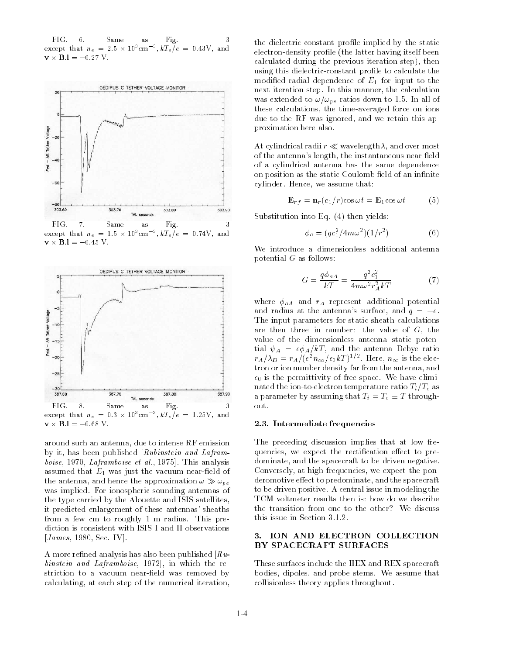FIG -6 Same as Fig.  $\mathcal{R}$ FIG.except that  $n_e = 2.5 \times 10^{\circ} \text{cm}^{-3}$ ,  $kT_e/e = 0.43 \text{V}$ , and  $\mathbf{v} \times \mathbf{B} \cdot \mathbf{l} = -0.27 \text{ V}$ .



except that  $n_e = 1.5 \times 10^{\circ}$ cm  $\beta$ ,  $kT_e/e = 0.74V$ , and  $\mathbf{v} \times \mathbf{B}$ .1 = -0.45 V.



 $\mathbf{v} \times \mathbf{B}$ .1 = -0.68 V.

around such an antenna, due to intense RF emission by it, has been published [Rubinstein and Laframboise, 1970, Laframboise et al., 1975]. This analysis assumed that  $E_1$  was just the vacuum near-field of the antenna, and hence the approximation  $\omega \gg \omega_{pe}$ was implied. For ionospheric sounding antennas of the type carried by the Alouette and ISIS satellites, it predicted enlargement of these antennas' sheaths from a few cm to roughly 1 m radius. This prediction is consistent with ISIS I and II observations [*James*, 1980, Sec. IV].

A more refined analysis has also been published  $\lceil Ru - \rceil$ binstein and Laframboise, 1972], in which the restriction to a vacuum near-field was removed by calculating, at each step of the numerical iteration,

the dielectric-constant profile implied by the static electron-density profile (the latter having itself been calculated during the previous iteration step), then using this dielectric-constant profile to calculate the modified radial dependence of  $E_1$  for input to the next iteration step. In this manner, the calculation was extended to  $\omega/\omega_{pe}$  ratios down to 1.5. In all of these calculations, the time-averaged force on ions due to the RF was ignored, and we retain this approximation here also.

At cylindrical radii  $r \ll$  wavelength  $\lambda$ , and over most of the antenna's length, the instantaneous near field of a cylindrical antenna has the same dependence on position as the static Coulomb field of an infinite cylinder. Hence, we assume that:

$$
\mathbf{E}_{rf} = \mathbf{n}_r (c_1/r) \cos \omega t = \mathbf{E}_1 \cos \omega t \tag{5}
$$

Substitution into Eq. (4) then yields:

$$
\phi_a = (qc_1^2 / 4m\omega^2)(1/r^2)
$$
 (6)

We introduce a dimensionless additional antenna potential  $G$  as follows:

$$
G = \frac{q\phi_{aA}}{kT} = \frac{q^2c_1^2}{4m\omega^2r_A^2kT}
$$
 (7)

where  $\phi_{aA}$  and  $r_A$  represent additional potential and radius at the antenna's surface, and  $q = -e$ . The input parameters for static sheath calculations are then three in number: the value of  $G$ , the value of the dimensionless antenna static potential and a particle and the antenna Debye ratio  $r_A/\lambda_D=r_A/(e^{\tau}n_\infty/\epsilon_0\kappa_I$  ) $^{\tau\tau}$  . Here,  $n_\infty$  is the electron or ion number density far from the antenna, and  $\epsilon_0$  is the permittivity of free space. We have eliminated the ion-to-electron temperature ratio  $T_i/T_e$  as a parameter by assuming that  $T_i = T_e \equiv T$  throughout.

#### 2.3. Intermediate frequencies

The preceding discussion implies that at low frequencies, we expect the rectification effect to predominate, and the spacecraft to be driven negative. Conversely, at high frequencies, we expect the ponderomotive effect to predominate, and the spacecraft to be driven positive. A central issue in modeling the TCM voltmeter results then is: how do we describe the transition from one to the other? We discuss this issue in Section 3.1.2.

## 3. ION AND ELECTRON COLLECTION BY SPACECRAFT SURFACES

These surfaces include the HEX and REX spacecraft bodies, dipoles, and probe stems. We assume that collisionless theory applies throughout.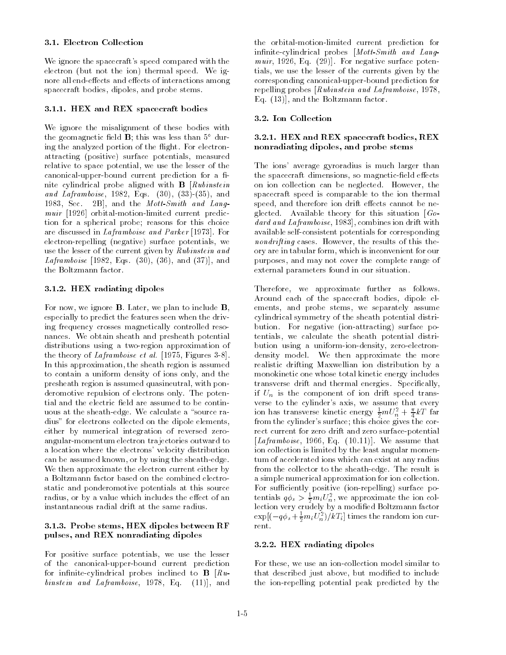### 3.1. Electron Collection

We ignore the spacecraft's speed compared with the electron (but not the ion) thermal speed. We ignore all end-effects and effects of interactions among spacecraft bodies, dipoles, and probe stems.

## 3.1.1. HEX and REX spacecraft bodies

We ignore the misalignment of these bodies with the geomagnetic field  $\bf{B}$ ; this was less than  $5^{\circ}$  during the analyzed portion of the flight. For electronattracting (positive) surface potentials, measured relative to space potential, we use the lesser of the canonical-upper-bound current prediction for a finite cylindrical probe aligned with B [Rubinstein and Laframboise, 1982, Eqs.  $(30)$ ,  $(33)-(35)$ , and 1983, Sec. 2B], and the Mott-Smith and Langmuir [1926] orbital-motion-limited current prediction for a spherical probe; reasons for this choice are discussed in Laframboise and Parker [1973]. For electron-repelling (negative) surface potentials, we use the lesser of the current given by Rubinstein and *Laframboise* [1982, Eqs.  $(30)$ ,  $(36)$ , and  $(37)$ ], and the Boltzmann factor.

# 3.1.2. HEX radiating dipoles

For now, we ignore  $\bf{B}$ . Later, we plan to include  $\bf{B}$ , especially to predict the features seen when the driving frequency crosses magnetically controlled resonances. We obtain sheath and presheath potential distributions using a two-region approximation of the theory of Laframboise et al. [1975, Figures 3-8]. In this approximation, the sheath region is assumed to contain a uniform density of ions only, and the presheath region is assumed quasineutral, with ponderomotive repulsion of electrons only. The potential and the electric field are assumed to be continuous at the sheath-edge. We calculate a "source radius" for electrons collected on the dipole elements, either by numerical integration of reversed zeroangular-momentum electron trajectories outward to a location where the electrons' velocity distribution can be assumed known, or by using the sheath-edge. We then approximate the electron current either by a Boltzmann factor based on the combined electrostatic and ponderomotive potentials at this source radius, or by a value which includes the effect of an instantaneous radial drift at the same radius.

## 3.1.3. Probe stems, HEX dipoles between RF pulses, and REX nonradiating dipoles

For positive surface potentials, we use the lesser of the canonical-upper-bound current prediction for infinite-cylindrical probes inclined to  $\mathbf{B}$  [ $Ru$ binstein and Laframboise, 1978, Eq. (11)], and

the orbital-motion-limited current prediction for infinite-cylindrical probes  $[Mott-Smith]$  and Langmuir, 1926, Eq.  $(29)$ ]. For negative surface potentials, we use the lesser of the currents given by the corresponding canonical-upper-bound prediction for repelling probes [Rubinstein and Laframboise, 1978, Eq. (13)], and the Boltzmann factor.

# 3.2. Ion Collection

## 3.2.1. HEX and REX spacecraft bodies, REX nonradiating dipoles, and probe stems

The ions' average gyroradius is much larger than the spacecraft dimensions, so magnetic-field effects on ion collection can be neglected. However, the spacecraft speed is comparable to the ion thermal speed, and therefore ion drift effects cannot be neglected. Available theory for this situation  $[G_0]$ dard and Laframboise, 1983], combines ion drift with available self-consistent potentials for corresponding nondrifting cases. However, the results of this theory are in tabular form, which is inconvenient for our purposes, and may not cover the complete range of external parameters found in our situation.

Therefore, we approximate further as follows. Around each of the spacecraft bodies, dipole elements, and probe stems, we separately assume cylindrical symmetry of the sheath potential distribution. For negative (ion-attracting) surface potentials, we calculate the sheath potential distribution using a uniform-ion-density, zero-electrondensity model. We then approximate the more realistic drifting Maxwellian ion distribution by a monokinetic one whose total kinetic energy includes transverse drift and thermal energies. Specically, if  $U_n$  is the component of ion drift speed transverse to the cylinder's axis, we assume that every ion has transverse kinetic energy  $\frac{1}{2} m \cup \frac{1}{n} + \frac{\gamma}{4} kT$  far from the cylinder's surface; this choice gives the correct current for zero drift and zero surface-potential [Laframboise, 1966, Eq.  $(10.11)$ ]. We assume that ion collection is limited by the least angular momentum of accelerated ions which can exist at any radius from the collector to the sheath-edge. The result is a simple numerical approximation for ion collection. For sufficiently positive (ion-repelling) surface potentials  $q\varphi_s > \frac{1}{2}m_iU_n^2$ , we approximate the ion collection very crudely by a modied Boltzmann factor  $\exp[(-q\hspace{0.05cm} \varphi_{s}+\frac{\gamma}{2}m_{i}\hspace{0.05cm} U_{n})/\hspace{0.05cm}\kappa\hspace{0.05cm}\boldsymbol{1}_{i}]$  times the random ion current.

## 3.2.2. HEX radiating dipoles

For these, we use an ion-collection model similar to that described just above, but modified to include the ion-repelling potential peak predicted by the